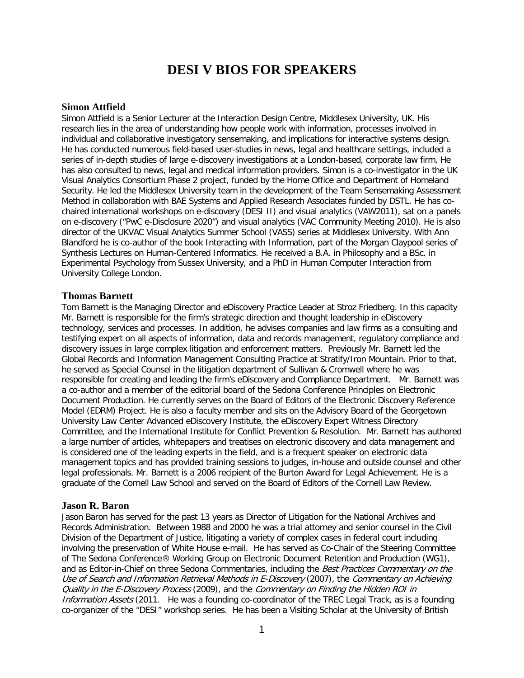# **DESI V BIOS FOR SPEAKERS**

## **Simon Attfield**

Simon Attfield is a Senior Lecturer at the Interaction Design Centre, Middlesex University, UK. His research lies in the area of understanding how people work with information, processes involved in individual and collaborative investigatory sensemaking, and implications for interactive systems design. He has conducted numerous field-based user-studies in news, legal and healthcare settings, included a series of in-depth studies of large e-discovery investigations at a London-based, corporate law firm. He has also consulted to news, legal and medical information providers. Simon is a co-investigator in the UK Visual Analytics Consortium Phase 2 project, funded by the Home Office and Department of Homeland Security. He led the Middlesex University team in the development of the Team Sensemaking Assessment Method in collaboration with BAE Systems and Applied Research Associates funded by DSTL. He has cochaired international workshops on e-discovery (DESI II) and visual analytics (VAW2011), sat on a panels on e-discovery ("PwC e-Disclosure 2020") and visual analytics (VAC Community Meeting 2010). He is also director of the UKVAC Visual Analytics Summer School (VASS) series at Middlesex University. With Ann Blandford he is co-author of the book Interacting with Information, part of the Morgan Claypool series of Synthesis Lectures on Human-Centered Informatics. He received a B.A. in Philosophy and a BSc. in Experimental Psychology from Sussex University, and a PhD in Human Computer Interaction from University College London.

#### **Thomas Barnett**

Tom Barnett is the Managing Director and eDiscovery Practice Leader at Stroz Friedberg. In this capacity Mr. Barnett is responsible for the firm's strategic direction and thought leadership in eDiscovery technology, services and processes. In addition, he advises companies and law firms as a consulting and testifying expert on all aspects of information, data and records management, regulatory compliance and discovery issues in large complex litigation and enforcement matters. Previously Mr. Barnett led the Global Records and Information Management Consulting Practice at Stratify/Iron Mountain. Prior to that, he served as Special Counsel in the litigation department of Sullivan & Cromwell where he was responsible for creating and leading the firm's eDiscovery and Compliance Department. Mr. Barnett was a co-author and a member of the editorial board of the Sedona Conference Principles on Electronic Document Production. He currently serves on the Board of Editors of the Electronic Discovery Reference Model (EDRM) Project. He is also a faculty member and sits on the Advisory Board of the Georgetown University Law Center Advanced eDiscovery Institute, the eDiscovery Expert Witness Directory Committee, and the International Institute for Conflict Prevention & Resolution. Mr. Barnett has authored a large number of articles, whitepapers and treatises on electronic discovery and data management and is considered one of the leading experts in the field, and is a frequent speaker on electronic data management topics and has provided training sessions to judges, in-house and outside counsel and other legal professionals. Mr. Barnett is a 2006 recipient of the Burton Award for Legal Achievement. He is a graduate of the Cornell Law School and served on the Board of Editors of the Cornell Law Review.

#### **Jason R. Baron**

Jason Baron has served for the past 13 years as Director of Litigation for the National Archives and Records Administration. Between 1988 and 2000 he was a trial attorney and senior counsel in the Civil Division of the Department of Justice, litigating a variety of complex cases in federal court including involving the preservation of White House e-mail. He has served as Co-Chair of the Steering Committee of The Sedona Conference® Working Group on Electronic Document Retention and Production (WG1), and as Editor-in-Chief on three Sedona Commentaries, including the Best Practices Commentary on the Use of Search and Information Retrieval Methods in E-Discovery (2007), the Commentary on Achieving Quality in the E-Discovery Process (2009), and the Commentary on Finding the Hidden ROI in Information Assets (2011. He was a founding co-coordinator of the TREC Legal Track, as is a founding co-organizer of the "DESI" workshop series. He has been a Visiting Scholar at the University of British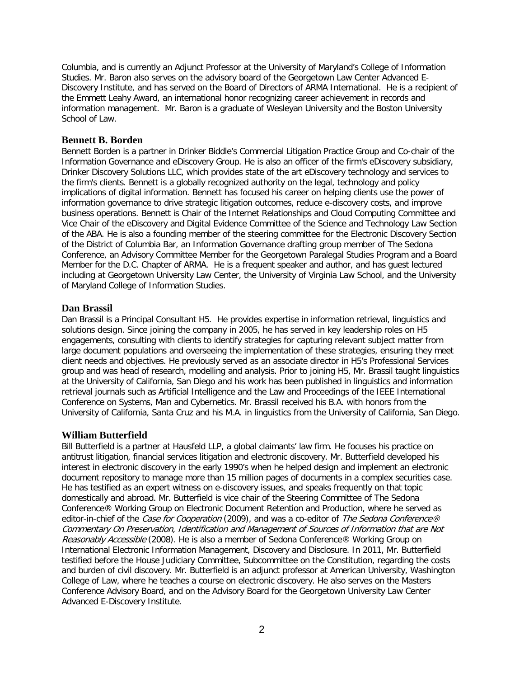Columbia, and is currently an Adjunct Professor at the University of Maryland's College of Information Studies. Mr. Baron also serves on the advisory board of the Georgetown Law Center Advanced E-Discovery Institute, and has served on the Board of Directors of ARMA International. He is a recipient of the Emmett Leahy Award, an international honor recognizing career achievement in records and information management. Mr. Baron is a graduate of Wesleyan University and the Boston University School of Law.

## **Bennett B. Borden**

Bennett Borden is a partner in Drinker Biddle's Commercial Litigation Practice Group and Co-chair of the Information Governance and eDiscovery Group. He is also an officer of the firm's eDiscovery subsidiary, [Drinker Discovery Solutions LLC,](http://www.drinkerdiscoverysolutions.com/) which provides state of the art eDiscovery technology and services to the firm's clients. Bennett is a globally recognized authority on the legal, technology and policy implications of digital information. Bennett has focused his career on helping clients use the power of information governance to drive strategic litigation outcomes, reduce e-discovery costs, and improve business operations. Bennett is Chair of the Internet Relationships and Cloud Computing Committee and Vice Chair of the eDiscovery and Digital Evidence Committee of the Science and Technology Law Section of the ABA. He is also a founding member of the steering committee for the Electronic Discovery Section of the District of Columbia Bar, an Information Governance drafting group member of The Sedona Conference, an Advisory Committee Member for the Georgetown Paralegal Studies Program and a Board Member for the D.C. Chapter of ARMA. He is a frequent speaker and author, and has guest lectured including at Georgetown University Law Center, the University of Virginia Law School, and the University of Maryland College of Information Studies.

## **Dan Brassil**

Dan Brassil is a Principal Consultant H5. He provides expertise in information retrieval, linguistics and solutions design. Since joining the company in 2005, he has served in key leadership roles on H5 engagements, consulting with clients to identify strategies for capturing relevant subject matter from large document populations and overseeing the implementation of these strategies, ensuring they meet client needs and objectives. He previously served as an associate director in H5's Professional Services group and was head of research, modelling and analysis. Prior to joining H5, Mr. Brassil taught linguistics at the University of California, San Diego and his work has been published in linguistics and information retrieval journals such as Artificial Intelligence and the Law and Proceedings of the IEEE International Conference on Systems, Man and Cybernetics. Mr. Brassil received his B.A. with honors from the University of California, Santa Cruz and his M.A. in linguistics from the University of California, San Diego.

# **William Butterfield**

Bill Butterfield is a partner at Hausfeld LLP, a global claimants' law firm. He focuses his practice on antitrust litigation, financial services litigation and electronic discovery. Mr. Butterfield developed his interest in electronic discovery in the early 1990's when he helped design and implement an electronic document repository to manage more than 15 million pages of documents in a complex securities case. He has testified as an expert witness on e-discovery issues, and speaks frequently on that topic domestically and abroad. Mr. Butterfield is vice chair of the Steering Committee of The Sedona Conference® Working Group on Electronic Document Retention and Production, where he served as editor-in-chief of the Case for Cooperation (2009), and was a co-editor of The Sedona Conference® Commentary On Preservation, Identification and Management of Sources of Information that are Not Reasonably Accessible (2008). He is also a member of Sedona Conference® Working Group on International Electronic Information Management, Discovery and Disclosure. In 2011, Mr. Butterfield testified before the House Judiciary Committee, Subcommittee on the Constitution, regarding the costs and burden of civil discovery. Mr. Butterfield is an adjunct professor at American University, Washington College of Law, where he teaches a course on electronic discovery. He also serves on the Masters Conference Advisory Board, and on the Advisory Board for the Georgetown University Law Center Advanced E-Discovery Institute.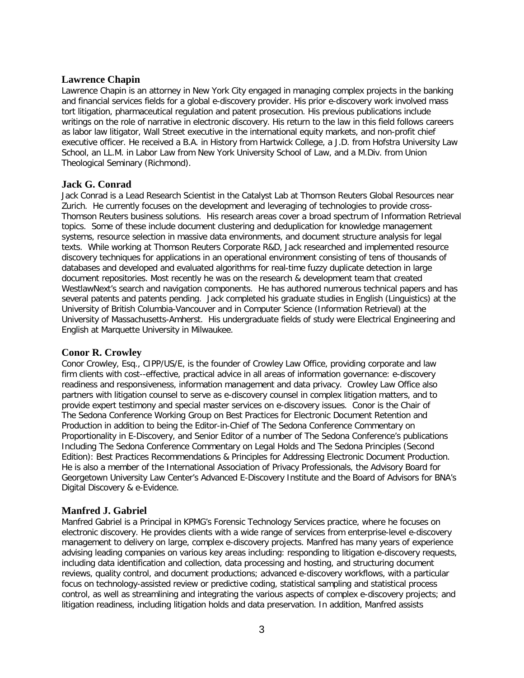## **Lawrence Chapin**

Lawrence Chapin is an attorney in New York City engaged in managing complex projects in the banking and financial services fields for a global e-discovery provider. His prior e-discovery work involved mass tort litigation, pharmaceutical regulation and patent prosecution. His previous publications include writings on the role of narrative in electronic discovery. His return to the law in this field follows careers as labor law litigator, Wall Street executive in the international equity markets, and non-profit chief executive officer. He received a B.A. in History from Hartwick College, a J.D. from Hofstra University Law School, an LL.M. in Labor Law from New York University School of Law, and a M.Div. from Union Theological Seminary (Richmond).

## **Jack G. Conrad**

Jack Conrad is a Lead Research Scientist in the Catalyst Lab at Thomson Reuters Global Resources near Zurich. He currently focuses on the development and leveraging of technologies to provide cross-Thomson Reuters business solutions. His research areas cover a broad spectrum of Information Retrieval topics. Some of these include document clustering and deduplication for knowledge management systems, resource selection in massive data environments, and document structure analysis for legal texts. While working at Thomson Reuters Corporate R&D, Jack researched and implemented resource discovery techniques for applications in an operational environment consisting of tens of thousands of databases and developed and evaluated algorithms for real-time fuzzy duplicate detection in large document repositories. Most recently he was on the research & development team that created WestlawNext's search and navigation components. He has authored numerous technical papers and has several patents and patents pending. Jack completed his graduate studies in English (Linguistics) at the University of British Columbia-Vancouver and in Computer Science (Information Retrieval) at the University of Massachusetts-Amherst. His undergraduate fields of study were Electrical Engineering and English at Marquette University in Milwaukee.

## **Conor R. Crowley**

Conor Crowley, Esq., CIPP/US/E, is the founder of Crowley Law Office, providing corporate and law firm clients with cost--effective, practical advice in all areas of information governance: e-discovery readiness and responsiveness, information management and data privacy. Crowley Law Office also partners with litigation counsel to serve as e-discovery counsel in complex litigation matters, and to provide expert testimony and special master services on e-discovery issues. Conor is the Chair of The Sedona Conference Working Group on Best Practices for Electronic Document Retention and Production in addition to being the Editor-in-Chief of The Sedona Conference Commentary on Proportionality in E-Discovery, and Senior Editor of a number of The Sedona Conference's publications Including The Sedona Conference Commentary on Legal Holds and The Sedona Principles (Second Edition): Best Practices Recommendations & Principles for Addressing Electronic Document Production. He is also a member of the International Association of Privacy Professionals, the Advisory Board for Georgetown University Law Center's Advanced E-Discovery Institute and the Board of Advisors for BNA's Digital Discovery & e-Evidence.

# **Manfred J. Gabriel**

Manfred Gabriel is a Principal in KPMG's Forensic Technology Services practice, where he focuses on electronic discovery. He provides clients with a wide range of services from enterprise-level e-discovery management to delivery on large, complex e-discovery projects. Manfred has many years of experience advising leading companies on various key areas including: responding to litigation e-discovery requests, including data identification and collection, data processing and hosting, and structuring document reviews, quality control, and document productions; advanced e-discovery workflows, with a particular focus on technology-assisted review or predictive coding, statistical sampling and statistical process control, as well as streamlining and integrating the various aspects of complex e-discovery projects; and litigation readiness, including litigation holds and data preservation. In addition, Manfred assists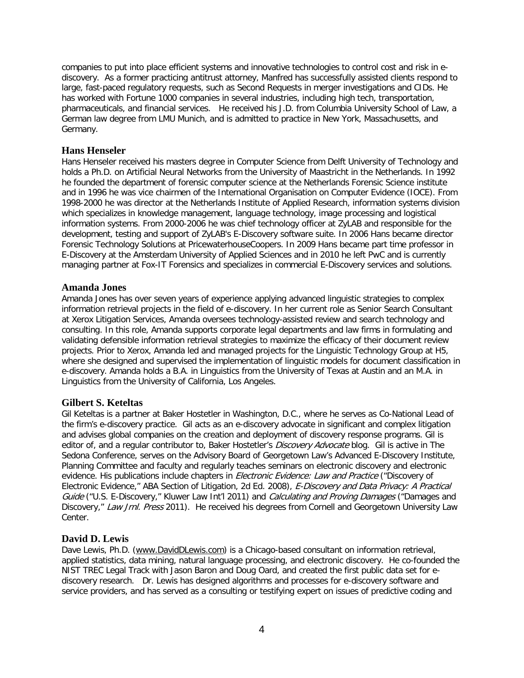companies to put into place efficient systems and innovative technologies to control cost and risk in ediscovery. As a former practicing antitrust attorney, Manfred has successfully assisted clients respond to large, fast-paced regulatory requests, such as Second Requests in merger investigations and CIDs. He has worked with Fortune 1000 companies in several industries, including high tech, transportation, pharmaceuticals, and financial services. He received his J.D. from Columbia University School of Law, a German law degree from LMU Munich, and is admitted to practice in New York, Massachusetts, and Germany.

## **Hans Henseler**

Hans Henseler received his masters degree in Computer Science from Delft University of Technology and holds a Ph.D. on Artificial Neural Networks from the University of Maastricht in the Netherlands. In 1992 he founded the department of forensic computer science at the Netherlands Forensic Science institute and in 1996 he was vice chairmen of the International Organisation on Computer Evidence (IOCE). From 1998-2000 he was director at the Netherlands Institute of Applied Research, information systems division which specializes in knowledge management, language technology, image processing and logistical information systems. From 2000-2006 he was chief technology officer at ZyLAB and responsible for the development, testing and support of ZyLAB's E-Discovery software suite. In 2006 Hans became director Forensic Technology Solutions at PricewaterhouseCoopers. In 2009 Hans became part time professor in E-Discovery at the Amsterdam University of Applied Sciences and in 2010 he left PwC and is currently managing partner at Fox-IT Forensics and specializes in commercial E-Discovery services and solutions.

## **Amanda Jones**

Amanda Jones has over seven years of experience applying advanced linguistic strategies to complex information retrieval projects in the field of e-discovery. In her current role as Senior Search Consultant at Xerox Litigation Services, Amanda oversees technology-assisted review and search technology and consulting. In this role, Amanda supports corporate legal departments and law firms in formulating and validating defensible information retrieval strategies to maximize the efficacy of their document review projects. Prior to Xerox, Amanda led and managed projects for the Linguistic Technology Group at H5, where she designed and supervised the implementation of linguistic models for document classification in e-discovery. Amanda holds a B.A. in Linguistics from the University of Texas at Austin and an M.A. in Linguistics from the University of California, Los Angeles.

# **Gilbert S. Keteltas**

Gil Keteltas is a partner at Baker Hostetler in Washington, D.C., where he serves as Co-National Lead of the firm's e-discovery practice. Gil acts as an e-discovery advocate in significant and complex litigation and advises global companies on the creation and deployment of discovery response programs. Gil is editor of, and a regular contributor to, Baker Hostetler's *Discovery Advocate* blog. Gil is active in The Sedona Conference, serves on the Advisory Board of Georgetown Law's Advanced E-Discovery Institute, Planning Committee and faculty and regularly teaches seminars on electronic discovery and electronic evidence. His publications include chapters in *Electronic Evidence: Law and Practice* ("Discovery of Electronic Evidence," ABA Section of Litigation, 2d Ed. 2008), E-Discovery and Data Privacy: A Practical Guide ("U.S. E-Discovery," Kluwer Law Int'l 2011) and Calculating and Proving Damages ("Damages and Discovery," Law Jrnl. Press 2011). He received his degrees from Cornell and Georgetown University Law Center.

## **David D. Lewis**

Dave Lewis, Ph.D. [\(www.DavidDLewis.com\)](http://www.daviddlewis.com/) is a Chicago-based consultant on information retrieval, applied statistics, data mining, natural language processing, and electronic discovery. He co-founded the NIST TREC Legal Track with Jason Baron and Doug Oard, and created the first public data set for ediscovery research. Dr. Lewis has designed algorithms and processes for e-discovery software and service providers, and has served as a consulting or testifying expert on issues of predictive coding and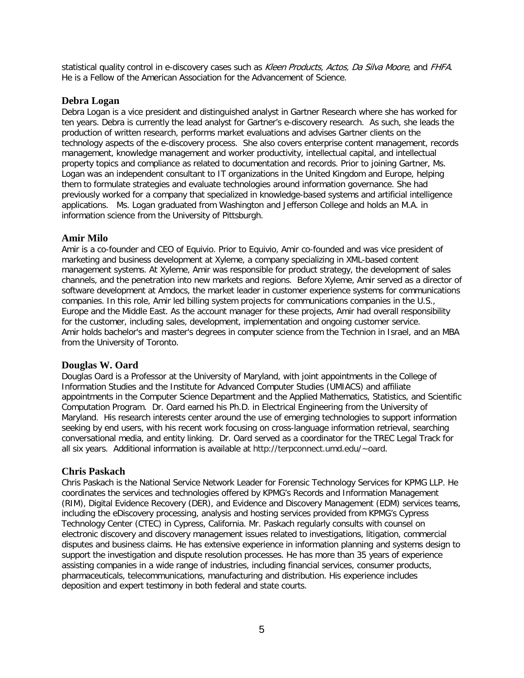statistical quality control in e-discovery cases such as Kleen Products, Actos, Da Silva Moore, and FHFA. He is a Fellow of the American Association for the Advancement of Science.

## **Debra Logan**

Debra Logan is a vice president and distinguished analyst in Gartner Research where she has worked for ten years. Debra is currently the lead analyst for Gartner's e-discovery research. As such, she leads the production of written research, performs market evaluations and advises Gartner clients on the technology aspects of the e-discovery process. She also covers enterprise content management, records management, knowledge management and worker productivity, intellectual capital, and intellectual property topics and compliance as related to documentation and records. Prior to joining Gartner, Ms. Logan was an independent consultant to IT organizations in the United Kingdom and Europe, helping them to formulate strategies and evaluate technologies around information governance. She had previously worked for a company that specialized in knowledge-based systems and artificial intelligence applications. Ms. Logan graduated from Washington and Jefferson College and holds an M.A. in information science from the University of Pittsburgh.

## **Amir Milo**

Amir is a co-founder and CEO of Equivio. Prior to Equivio, Amir co-founded and was vice president of marketing and business development at Xyleme, a company specializing in XML-based content management systems. At Xyleme, Amir was responsible for product strategy, the development of sales channels, and the penetration into new markets and regions. Before Xyleme, Amir served as a director of software development at Amdocs, the market leader in customer experience systems for communications companies. In this role, Amir led billing system projects for communications companies in the U.S., Europe and the Middle East. As the account manager for these projects, Amir had overall responsibility for the customer, including sales, development, implementation and ongoing customer service. Amir holds bachelor's and master's degrees in computer science from the Technion in Israel, and an MBA from the University of Toronto.

# **Douglas W. Oard**

Douglas Oard is a Professor at the University of Maryland, with joint appointments in the College of Information Studies and the Institute for Advanced Computer Studies (UMIACS) and affiliate appointments in the Computer Science Department and the Applied Mathematics, Statistics, and Scientific Computation Program. Dr. Oard earned his Ph.D. in Electrical Engineering from the University of Maryland. His research interests center around the use of emerging technologies to support information seeking by end users, with his recent work focusing on cross-language information retrieval, searching conversational media, and entity linking. Dr. Oard served as a coordinator for the TREC Legal Track for all six years. Additional information is available at http://terpconnect.umd.edu/~oard.

# **Chris Paskach**

Chris Paskach is the National Service Network Leader for Forensic Technology Services for KPMG LLP. He coordinates the services and technologies offered by KPMG's Records and Information Management (RIM), Digital Evidence Recovery (DER), and Evidence and Discovery Management (EDM) services teams, including the eDiscovery processing, analysis and hosting services provided from KPMG's Cypress Technology Center (CTEC) in Cypress, California. Mr. Paskach regularly consults with counsel on electronic discovery and discovery management issues related to investigations, litigation, commercial disputes and business claims. He has extensive experience in information planning and systems design to support the investigation and dispute resolution processes. He has more than 35 years of experience assisting companies in a wide range of industries, including financial services, consumer products, pharmaceuticals, telecommunications, manufacturing and distribution. His experience includes deposition and expert testimony in both federal and state courts.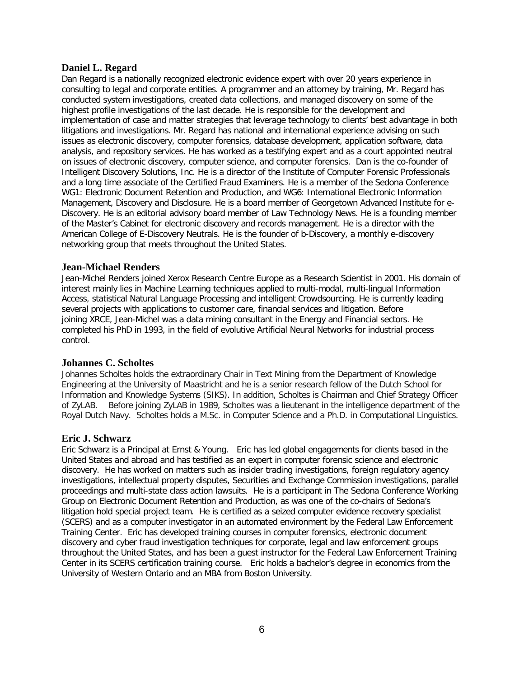## **Daniel L. Regard**

Dan Regard is a nationally recognized electronic evidence expert with over 20 years experience in consulting to legal and corporate entities. A programmer and an attorney by training, Mr. Regard has conducted system investigations, created data collections, and managed discovery on some of the highest profile investigations of the last decade. He is responsible for the development and implementation of case and matter strategies that leverage technology to clients' best advantage in both litigations and investigations. Mr. Regard has national and international experience advising on such issues as electronic discovery, computer forensics, database development, application software, data analysis, and repository services. He has worked as a testifying expert and as a court appointed neutral on issues of electronic discovery, computer science, and computer forensics. Dan is the co-founder of Intelligent Discovery Solutions, Inc. He is a director of the Institute of Computer Forensic Professionals and a long time associate of the Certified Fraud Examiners. He is a member of the Sedona Conference WG1: Electronic Document Retention and Production, and WG6: International Electronic Information Management, Discovery and Disclosure. He is a board member of Georgetown Advanced Institute for e-Discovery. He is an editorial advisory board member of Law Technology News. He is a founding member of the Master's Cabinet for electronic discovery and records management. He is a director with the American College of E-Discovery Neutrals. He is the founder of b-Discovery, a monthly e-discovery networking group that meets throughout the United States.

## **Jean-Michael Renders**

Jean-Michel Renders joined Xerox Research Centre Europe as a Research Scientist in 2001. His domain of interest mainly lies in Machine Learning techniques applied to multi-modal, multi-lingual Information Access, statistical Natural Language Processing and intelligent Crowdsourcing. He is currently leading several projects with applications to customer care, financial services and litigation. Before joining XRCE, Jean-Michel was a data mining consultant in the Energy and Financial sectors. He completed his PhD in 1993, in the field of evolutive Artificial Neural Networks for industrial process control.

## **Johannes C. Scholtes**

Johannes Scholtes holds the extraordinary Chair in Text Mining from the Department of Knowledge Engineering at the University of Maastricht and he is a senior research fellow of the Dutch School for Information and Knowledge Systems (SIKS). In addition, Scholtes is Chairman and Chief Strategy Officer of ZyLAB. Before joining ZyLAB in 1989, Scholtes was a lieutenant in the intelligence department of the Royal Dutch Navy. Scholtes holds a M.Sc. in Computer Science and a Ph.D. in Computational Linguistics.

## **Eric J. Schwarz**

Eric Schwarz is a Principal at Ernst & Young. Eric has led global engagements for clients based in the United States and abroad and has testified as an expert in computer forensic science and electronic discovery. He has worked on matters such as insider trading investigations, foreign regulatory agency investigations, intellectual property disputes, Securities and Exchange Commission investigations, parallel proceedings and multi-state class action lawsuits. He is a participant in The Sedona Conference Working Group on Electronic Document Retention and Production, as was one of the co-chairs of Sedona's litigation hold special project team. He is certified as a seized computer evidence recovery specialist (SCERS) and as a computer investigator in an automated environment by the Federal Law Enforcement Training Center. Eric has developed training courses in computer forensics, electronic document discovery and cyber fraud investigation techniques for corporate, legal and law enforcement groups throughout the United States, and has been a guest instructor for the Federal Law Enforcement Training Center in its SCERS certification training course. Eric holds a bachelor's degree in economics from the University of Western Ontario and an MBA from Boston University.